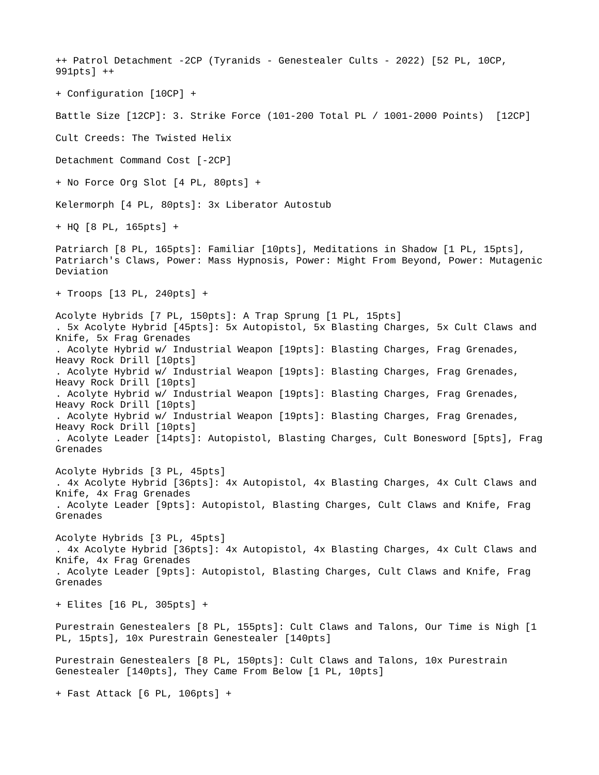++ Patrol Detachment -2CP (Tyranids - Genestealer Cults - 2022) [52 PL, 10CP, 991pts] ++ + Configuration [10CP] + Battle Size [12CP]: 3. Strike Force (101-200 Total PL / 1001-2000 Points) [12CP] Cult Creeds: The Twisted Helix Detachment Command Cost [-2CP] + No Force Org Slot [4 PL, 80pts] + Kelermorph [4 PL, 80pts]: 3x Liberator Autostub + HQ [8 PL, 165pts] + Patriarch [8 PL, 165pts]: Familiar [10pts], Meditations in Shadow [1 PL, 15pts], Patriarch's Claws, Power: Mass Hypnosis, Power: Might From Beyond, Power: Mutagenic Deviation + Troops [13 PL, 240pts] + Acolyte Hybrids [7 PL, 150pts]: A Trap Sprung [1 PL, 15pts] . 5x Acolyte Hybrid [45pts]: 5x Autopistol, 5x Blasting Charges, 5x Cult Claws and Knife, 5x Frag Grenades . Acolyte Hybrid w/ Industrial Weapon [19pts]: Blasting Charges, Frag Grenades, Heavy Rock Drill [10pts] . Acolyte Hybrid w/ Industrial Weapon [19pts]: Blasting Charges, Frag Grenades, Heavy Rock Drill [10pts] . Acolyte Hybrid w/ Industrial Weapon [19pts]: Blasting Charges, Frag Grenades, Heavy Rock Drill [10pts] . Acolyte Hybrid w/ Industrial Weapon [19pts]: Blasting Charges, Frag Grenades, Heavy Rock Drill [10pts] . Acolyte Leader [14pts]: Autopistol, Blasting Charges, Cult Bonesword [5pts], Frag Grenades Acolyte Hybrids [3 PL, 45pts] . 4x Acolyte Hybrid [36pts]: 4x Autopistol, 4x Blasting Charges, 4x Cult Claws and Knife, 4x Frag Grenades . Acolyte Leader [9pts]: Autopistol, Blasting Charges, Cult Claws and Knife, Frag Grenades Acolyte Hybrids [3 PL, 45pts] . 4x Acolyte Hybrid [36pts]: 4x Autopistol, 4x Blasting Charges, 4x Cult Claws and Knife, 4x Frag Grenades . Acolyte Leader [9pts]: Autopistol, Blasting Charges, Cult Claws and Knife, Frag Grenades + Elites [16 PL, 305pts] + Purestrain Genestealers [8 PL, 155pts]: Cult Claws and Talons, Our Time is Nigh [1 PL, 15pts], 10x Purestrain Genestealer [140pts] Purestrain Genestealers [8 PL, 150pts]: Cult Claws and Talons, 10x Purestrain Genestealer [140pts], They Came From Below [1 PL, 10pts] + Fast Attack [6 PL, 106pts] +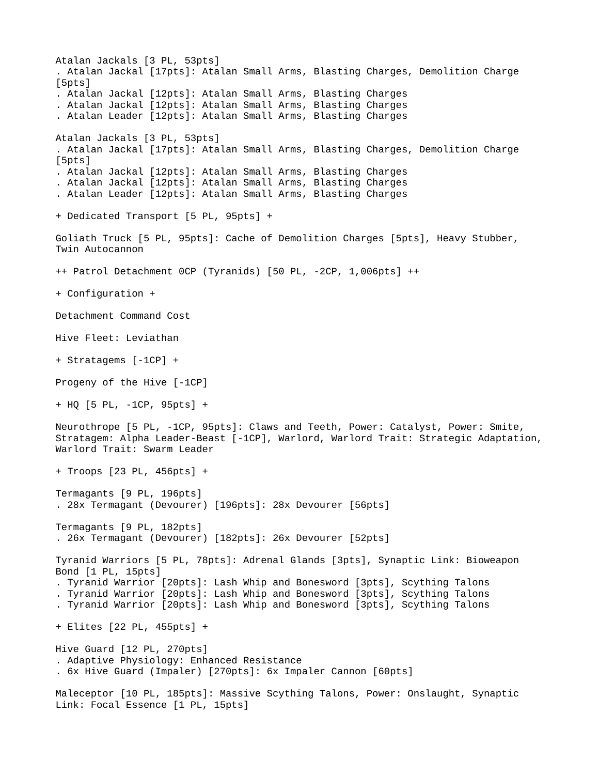```
Atalan Jackals [3 PL, 53pts]
. Atalan Jackal [17pts]: Atalan Small Arms, Blasting Charges, Demolition Charge 
[5pts]
. Atalan Jackal [12pts]: Atalan Small Arms, Blasting Charges
. Atalan Jackal [12pts]: Atalan Small Arms, Blasting Charges
. Atalan Leader [12pts]: Atalan Small Arms, Blasting Charges
Atalan Jackals [3 PL, 53pts]
. Atalan Jackal [17pts]: Atalan Small Arms, Blasting Charges, Demolition Charge 
[5pts]
. Atalan Jackal [12pts]: Atalan Small Arms, Blasting Charges
. Atalan Jackal [12pts]: Atalan Small Arms, Blasting Charges
. Atalan Leader [12pts]: Atalan Small Arms, Blasting Charges
+ Dedicated Transport [5 PL, 95pts] +
Goliath Truck [5 PL, 95pts]: Cache of Demolition Charges [5pts], Heavy Stubber, 
Twin Autocannon
++ Patrol Detachment 0CP (Tyranids) [50 PL, -2CP, 1,006pts] ++
+ Configuration +
Detachment Command Cost
Hive Fleet: Leviathan
+ Stratagems [-1CP] +
Progeny of the Hive [-1CP]
+ HQ [5 PL, -1CP, 95pts] +
Neurothrope [5 PL, -1CP, 95pts]: Claws and Teeth, Power: Catalyst, Power: Smite, 
Stratagem: Alpha Leader-Beast [-1CP], Warlord, Warlord Trait: Strategic Adaptation,
Warlord Trait: Swarm Leader
+ Troops [23 PL, 456pts] +
Termagants [9 PL, 196pts]
. 28x Termagant (Devourer) [196pts]: 28x Devourer [56pts]
Termagants [9 PL, 182pts]
. 26x Termagant (Devourer) [182pts]: 26x Devourer [52pts]
Tyranid Warriors [5 PL, 78pts]: Adrenal Glands [3pts], Synaptic Link: Bioweapon 
Bond [1 PL, 15pts]
. Tyranid Warrior [20pts]: Lash Whip and Bonesword [3pts], Scything Talons
. Tyranid Warrior [20pts]: Lash Whip and Bonesword [3pts], Scything Talons
. Tyranid Warrior [20pts]: Lash Whip and Bonesword [3pts], Scything Talons
+ Elites [22 PL, 455pts] +
Hive Guard [12 PL, 270pts]
. Adaptive Physiology: Enhanced Resistance
. 6x Hive Guard (Impaler) [270pts]: 6x Impaler Cannon [60pts]
Maleceptor [10 PL, 185pts]: Massive Scything Talons, Power: Onslaught, Synaptic 
Link: Focal Essence [1 PL, 15pts]
```